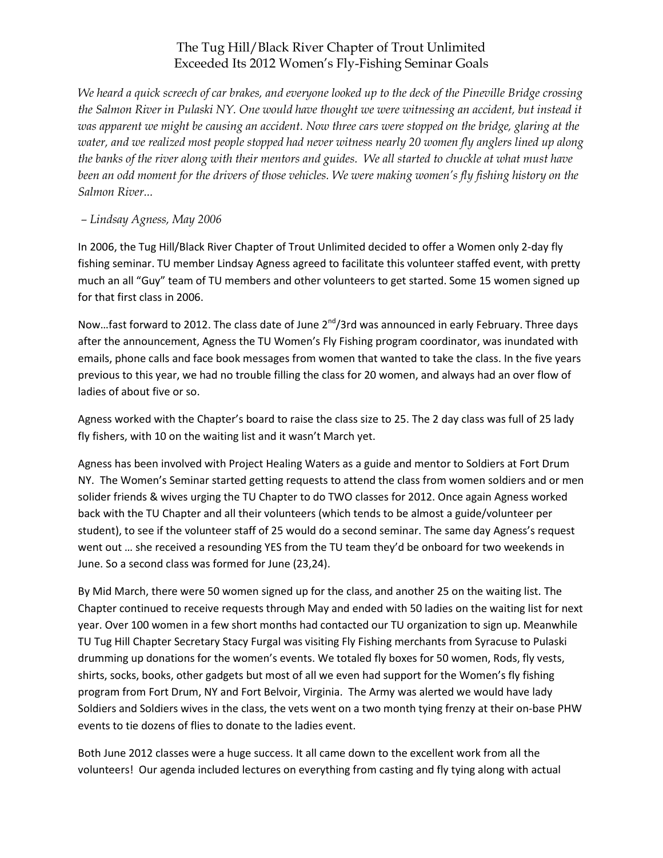## The Tug Hill/Black River Chapter of Trout Unlimited Exceeded Its 2012 Women's Fly-Fishing Seminar Goals

*We heard a quick screech of car brakes, and everyone looked up to the deck of the Pineville Bridge crossing the Salmon River in Pulaski NY. One would have thought we were witnessing an accident, but instead it was apparent we might be causing an accident. Now three cars were stopped on the bridge, glaring at the water, and we realized most people stopped had never witness nearly 20 women fly anglers lined up along the banks of the river along with their mentors and guides. We all started to chuckle at what must have been an odd moment for the drivers of those vehicles. We were making women's fly fishing history on the Salmon River...*

## *– Lindsay Agness, May 2006*

In 2006, the Tug Hill/Black River Chapter of Trout Unlimited decided to offer a Women only 2-day fly fishing seminar. TU member Lindsay Agness agreed to facilitate this volunteer staffed event, with pretty much an all "Guy" team of TU members and other volunteers to get started. Some 15 women signed up for that first class in 2006.

Now...fast forward to 2012. The class date of June  $2^{nd}/3$ rd was announced in early February. Three days after the announcement, Agness the TU Women's Fly Fishing program coordinator, was inundated with emails, phone calls and face book messages from women that wanted to take the class. In the five years previous to this year, we had no trouble filling the class for 20 women, and always had an over flow of ladies of about five or so.

Agness worked with the Chapter's board to raise the class size to 25. The 2 day class was full of 25 lady fly fishers, with 10 on the waiting list and it wasn't March yet.

Agness has been involved with Project Healing Waters as a guide and mentor to Soldiers at Fort Drum NY. The Women's Seminar started getting requests to attend the class from women soldiers and or men solider friends & wives urging the TU Chapter to do TWO classes for 2012. Once again Agness worked back with the TU Chapter and all their volunteers (which tends to be almost a guide/volunteer per student), to see if the volunteer staff of 25 would do a second seminar. The same day Agness's request went out … she received a resounding YES from the TU team they'd be onboard for two weekends in June. So a second class was formed for June (23,24).

By Mid March, there were 50 women signed up for the class, and another 25 on the waiting list. The Chapter continued to receive requests through May and ended with 50 ladies on the waiting list for next year. Over 100 women in a few short months had contacted our TU organization to sign up. Meanwhile TU Tug Hill Chapter Secretary Stacy Furgal was visiting Fly Fishing merchants from Syracuse to Pulaski drumming up donations for the women's events. We totaled fly boxes for 50 women, Rods, fly vests, shirts, socks, books, other gadgets but most of all we even had support for the Women's fly fishing program from Fort Drum, NY and Fort Belvoir, Virginia. The Army was alerted we would have lady Soldiers and Soldiers wives in the class, the vets went on a two month tying frenzy at their on-base PHW events to tie dozens of flies to donate to the ladies event.

Both June 2012 classes were a huge success. It all came down to the excellent work from all the volunteers! Our agenda included lectures on everything from casting and fly tying along with actual